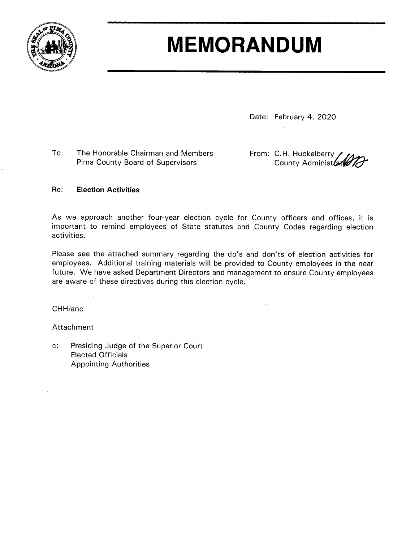

## **MEMORANDUM**

Date: February 4, 2020

To: The Honorable Chairman and Members Pima County Board of Supervisors

From: C.H. Huckelberry County Administ

## **Election Activities**  $Re:$

As we approach another four-year election cycle for County officers and offices, it is important to remind employees of State statutes and County Codes regarding election activities.

Please see the attached summary regarding the do's and don'ts of election activities for employees. Additional training materials will be provided to County employees in the near future. We have asked Department Directors and management to ensure County employees are aware of these directives during this election cycle.

CHH/anc

Attachment

 $c$ : Presiding Judge of the Superior Court **Elected Officials Appointing Authorities**